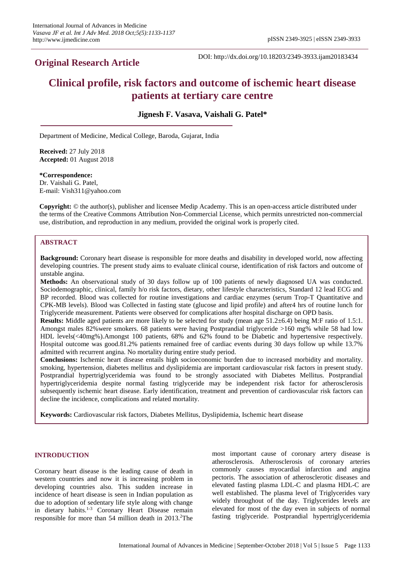## **Original Research Article**

DOI: http://dx.doi.org/10.18203/2349-3933.ijam20183434

# **Clinical profile, risk factors and outcome of ischemic heart disease patients at tertiary care centre**

**Jignesh F. Vasava, Vaishali G. Patel\***

Department of Medicine, Medical College, Baroda, Gujarat, India

**Received:** 27 July 2018 **Accepted:** 01 August 2018

**\*Correspondence:**

Dr. Vaishali G. Patel, E-mail: Vish311@yahoo.com

**Copyright:** © the author(s), publisher and licensee Medip Academy. This is an open-access article distributed under the terms of the Creative Commons Attribution Non-Commercial License, which permits unrestricted non-commercial use, distribution, and reproduction in any medium, provided the original work is properly cited.

## **ABSTRACT**

**Background:** Coronary heart disease is responsible for more deaths and disability in developed world, now affecting developing countries. The present study aims to evaluate clinical course, identification of risk factors and outcome of unstable angina.

**Methods:** An observational study of 30 days follow up of 100 patients of newly diagnosed UA was conducted. Sociodemographic, clinical, family h/o risk factors, dietary, other lifestyle characteristics, Standard 12 lead ECG and BP recorded. Blood was collected for routine investigations and cardiac enzymes (serum Trop-T Quantitative and CPK-MB levels). Blood was Collected in fasting state (glucose and lipid profile) and after4 hrs of routine lunch for Triglyceride measurement. Patients were observed for complications after hospital discharge on OPD basis.

**Results:** Middle aged patients are more likely to be selected for study (mean age 51.2±6.4) being M:F ratio of 1.5:1. Amongst males 82%were smokers. 68 patients were having Postprandial triglyceride >160 mg% while 58 had low HDL levels(<40mg%).Amongst 100 patients, 68% and 62% found to be Diabetic and hypertensive respectively. Hospital outcome was good.81.2% patients remained free of cardiac events during 30 days follow up while 13.7% admitted with recurrent angina. No mortality during entire study period.

**Conclusions:** Ischemic heart disease entails high socioeconomic burden due to increased morbidity and mortality. smoking, hypertension, diabetes mellitus and dyslipidemia are important cardiovascular risk factors in present study. Postprandial hypertriglyceridemia was found to be strongly associated with Diabetes Mellitus. Postprandial hypertriglyceridemia despite normal fasting triglyceride may be independent risk factor for atherosclerosis subsequently ischemic heart disease. Early identification, treatment and prevention of cardiovascular risk factors can decline the incidence, complications and related mortality.

**Keywords:** Cardiovascular risk factors, Diabetes Mellitus, Dyslipidemia, Ischemic heart disease

## **INTRODUCTION**

Coronary heart disease is the leading cause of death in western countries and now it is increasing problem in developing countries also. This sudden increase in incidence of heart disease is seen in Indian population as due to adoption of sedentary life style along with change in dietary habits.<sup>1-3</sup> Coronary Heart Disease remain responsible for more than 54 million death in 2013. <sup>2</sup>The

most important cause of coronary artery disease is atherosclerosis. Atherosclerosis of coronary arteries commonly causes myocardial infarction and angina pectoris. The association of atherosclerotic diseases and elevated fasting plasma LDL-C and plasma HDL-C are well established. The plasma level of Triglycerides vary widely throughout of the day. Triglycerides levels are elevated for most of the day even in subjects of normal fasting triglyceride. Postprandial hypertriglyceridemia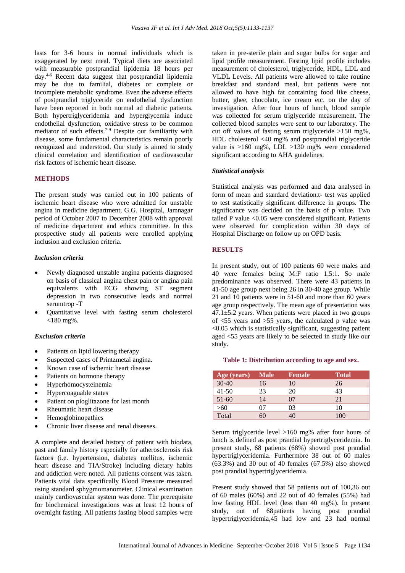lasts for 3-6 hours in normal individuals which is exaggerated by next meal. Typical diets are associated with measurable postprandial lipidemia 18 hours per day. 4-6 Recent data suggest that postprandial lipidemia may be due to familial, diabetes or complete or incomplete metabolic syndrome. Even the adverse effects of postprandial triglyceride on endothelial dysfunction have been reported in both normal ad diabetic patients. Both hypertriglyceridemia and hyperglycemia induce endothelial dysfunction, oxidative stress to be common mediator of such effects.<sup>7-9</sup> Despite our familiarity with disease, some fundamental characteristics remain poorly recognized and understood. Our study is aimed to study clinical correlation and identification of cardiovascular risk factors of ischemic heart disease.

## **METHODS**

The present study was carried out in 100 patients of ischemic heart disease who were admitted for unstable angina in medicine department, G.G. Hospital, Jamnagar period of October 2007 to December 2008 with approval of medicine department and ethics committee. In this prospective study all patients were enrolled applying inclusion and exclusion criteria.

## *Inclusion criteria*

- Newly diagnosed unstable angina patients diagnosed on basis of classical angina chest pain or angina pain equivalents with ECG showing ST segment depression in two consecutive leads and normal serumtrop -T
- Quantitative level with fasting serum cholesterol  $<$ 180 mg%.

#### *Exclusion criteria*

- Patients on lipid lowering therapy
- Suspected cases of Printzmetal angina.
- Known case of ischemic heart disease
- Patients on hormone therapy
- Hyperhomocysteinemia
- Hypercoaguable states
- Patient on pioglitazone for last month
- Rheumatic heart disease
- Hemoglobinopathies
- Chronic liver disease and renal diseases.

A complete and detailed history of patient with biodata, past and family history especially for atherosclerosis risk factors (i.e. hypertension, diabetes mellitus, ischemic heart disease and TIA/Stroke) including dietary habits and addiction were noted. All patients consent was taken. Patients vital data specifically Blood Pressure measured using standard sphygmomanometer. Clinical examination mainly cardiovascular system was done. The prerequisite for biochemical investigations was at least 12 hours of overnight fasting. All patients fasting blood samples were taken in pre-sterile plain and sugar bulbs for sugar and lipid profile measurement. Fasting lipid profile includes measurement of cholesterol, triglyceride, HDL, LDL and VLDL Levels. All patients were allowed to take routine breakfast and standard meal, but patients were not allowed to have high fat containing food like cheese, butter, ghee, chocolate, ice cream etc. on the day of investigation. After four hours of lunch, blood sample was collected for serum triglyceride measurement. The collected blood samples were sent to our laboratory. The cut off values of fasting serum triglyceride >150 mg%, HDL cholesterol <40 mg% and postprandial triglyceride value is >160 mg%, LDL >130 mg% were considered significant according to AHA guidelines.

#### *Statistical analysis*

Statistical analysis was performed and data analysed in form of mean and standard deviation.t- test was applied to test statistically significant difference in groups. The significance was decided on the basis of p value. Two tailed P value <0.05 were considered significant. Patients were observed for complication within 30 days of Hospital Discharge on follow up on OPD basis.

### **RESULTS**

In present study, out of 100 patients 60 were males and 40 were females being M:F ratio 1.5:1. So male predominance was observed. There were 43 patients in 41-50 age group next being 26 in 30-40 age group. While 21 and 10 patients were in 51-60 and more than 60 years age group respectively. The mean age of presentation was  $47.1 \pm 5.2$  years. When patients were placed in two groups of <55 years and >55 years, the calculated p value was <0.05 which is statistically significant, suggesting patient aged <55 years are likely to be selected in study like our study.

#### **Table 1: Distribution according to age and sex.**

| $Age$ (years) | <b>Male</b> | <b>Female</b> | <b>Total</b> |
|---------------|-------------|---------------|--------------|
| $30-40$       | 16          | 10            | 26           |
| $41 - 50$     | 23          | 20            | 43           |
| $51-60$       | 14          | 07            | 21           |
| >60           | 07          | 03            | 10           |
| Total         | 50          | 40            | 100          |

Serum triglyceride level >160 mg% after four hours of lunch is defined as post prandial hypertriglyceridemia. In present study, 68 patients (68%) showed post prandial hypertriglyceridemia. Furthermore 38 out of 60 males (63.3%) and 30 out of 40 females (67.5%) also showed post prandial hypertriglyceridemia.

Present study showed that 58 patients out of 100,36 out of 60 males (60%) and 22 out of 40 females (55%) had low fasting HDL level (less than 40 mg%). In present study, out of 68patients having post prandial hypertriglyceridemia,45 had low and 23 had normal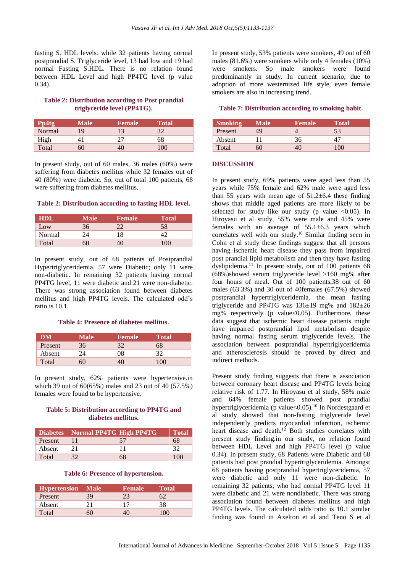fasting S. HDL levels. while 32 patients having normal postprandial S. Triglyceride level, 13 had low and 19 had normal Fasting S.HDL. There is no relation found between HDL Level and high PP4TG level (p value 0.34).

## **Table 2: Distribution according to Post prandial triglyceride level (PP4TG).**

| Pp4tg  | <b>Male</b> | <b>Female</b> | <b>Total</b> |
|--------|-------------|---------------|--------------|
| Normal | 19          | 13            | 32           |
| High   |             | 27            | 68           |
| Total  | 60          | 40            | 100          |

In present study, out of 60 males, 36 males (60%) were suffering from diabetes mellitus while 32 females out of 40 (80%) were diabetic. So, out of total 100 patients, 68 were suffering from diabetes mellitus.

## **Table 2: Distribution according to fasting HDL level.**

| <b>HDL</b> | Male | <b>Female</b> | Total |
|------------|------|---------------|-------|
| Low        | 36   |               | 58    |
| Normal     | 24   | 8             |       |
| Total      | 60   |               | 100   |

In present study, out of 68 patients of Postprandial Hypertriglyceridemia, 57 were Diabetic; only 11 were non-diabetic. In remaining 32 patients having normal PP4TG level, 11 were diabetic and 21 were non-diabetic. There was strong association found between diabetes mellitus and high PP4TG levels. The calculated odd's ratio is 10.1.

## **Table 4: Presence of diabetes mellitus.**

| <b>DM</b> | Male | <b>Female</b> | Total |
|-----------|------|---------------|-------|
| Present   | 36   | 32            | 68    |
| Absent    | 24   | 08            | 32    |
| Total     | 50   |               | 100   |

In present study, 62% patients were hypertensive.in which 39 out of 60(65%) males and 23 out of 40 (57.5%) females were found to be hypertensive.

## **Table 5: Distribution according to PP4TG and diabetes mellitus.**

|         | Diabetes Normal PP4TG High PP4TG |    | <b>Total</b> |
|---------|----------------------------------|----|--------------|
| Present |                                  | 57 | 68           |
| Absent  | 21                               |    | 32           |
| Total   | 32                               | 68 | 100          |

#### **Table 6: Presence of hypertension.**

| <b>Hypertension</b> Male |    | <b>Female</b> | Total |
|--------------------------|----|---------------|-------|
| Present                  | 39 | 23            |       |
| Absent                   |    |               | 38    |
| Total                    | 50 |               | 100   |

In present study, 53% patients were smokers, 49 out of 60 males (81.6%) were smokers while only 4 females (10%) were smokers. So male smokers were found predominantly in study. In current scenario, due to adoption of more westernized life style, even female smokers are also in increasing trend.

## **Table 7: Distribution according to smoking habit.**

| <b>Smoking</b> | Male | <b>Female</b> | Total |
|----------------|------|---------------|-------|
| Present        | 49   |               | 53    |
| Absent         |      | 36            |       |
| Total          | 50   |               | 100   |

#### **DISCUSSION**

In present study, 69% patients were aged less than 55 years while 75% female and 62% male were aged less than 55 years with mean age of  $51.2\pm6.4$  these finding shows that middle aged patients are more likely to be selected for study like our study (p value  $\langle 0.05 \rangle$ . In Hiroyasu et al study, 55% were male and 45% were females with an average of  $55.1 \pm 6.3$  years which correlates well with our study.<sup>10</sup> Similar finding seen in Cohn et al study these findings suggest that all persons having ischemic heart disease they pass from impaired post prandial lipid metabolism and then they have fasting dyslipidemia.<sup>11</sup> In present study, out of 100 patients 68 (68%)showed serum triglyceride level >160 mg% after four hours of meal. Out of 100 patients,38 out of 60 males (63.3%) and 30 out of 40females (67.5%) showed postprandial hypertriglyceridemia. the mean fasting triglyceride and PP4TG was 136±19 mg% and 182±26 mg% respectively (p value $<0.05$ ). Furthermore, these data suggest that ischemic heart disease patients might have impaired postprandial lipid metabolism despite having normal fasting serum triglyceride levels. The association between postprandial hypertriglyceridemia and atherosclerosis should be proved by direct and indirect methods.

Present study finding suggests that there is association between coronary heart disease and PP4TG levels being relative risk of 1.77. In Hiroyasu et al study, 58% male and 64% female patients showed post prandial hypertriglyceridemia (p value<0.05).<sup>10</sup> In Nordestgaard et al study showed that non-fasting triglyceride level independently predicts myocardial infarction, ischemic heart disease and death.<sup>12</sup> Both studies correlates with present study finding.in our study, no relation found between HDL Level and high PP4TG level (p value 0.34). In present study, 68 Patients were Diabetic and 68 patients had post prandial hypertriglyceridemia. Amongst 68 patients having postprandial hypertriglyceridemia, 57 were diabetic and only 11 were non-diabetic. In remaining 32 patients, who had normal PP4TG level 11 were diabetic and 21 were nondiabetic. There was strong association found between diabetes mellitus and high PP4TG levels. The calculated odds ratio is 10.1 similar finding was found in Axelton et al and Teno S et al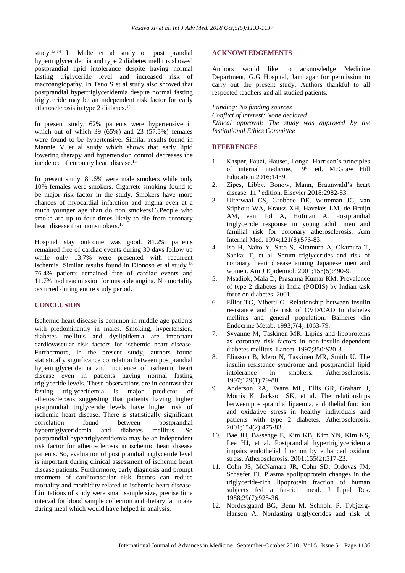study. 13,14 In Malte et al study on post prandial hypertriglyceridemia and type 2 diabetes mellitus showed postprandial lipid intolerance despite having normal fasting triglyceride level and increased risk of macroangiopathy. In Teno S et al study also showed that postprandial hypertriglyceridemia despite normal fasting triglyceride may be an independent risk factor for early atherosclerosis in type 2 diabetes.<sup>14</sup>

In present study, 62% patients were hypertensive in which out of which 39 (65%) and 23 (57.5%) females were found to be hypertensive. Similar results found in Mannie V et al study which shows that early lipid lowering therapy and hypertension control decreases the incidence of coronary heart disease.<sup>15</sup>

In present study, 81.6% were male smokers while only 10% females were smokers. Cigarrete smoking found to be major risk factor in the study. Smokers have more chances of myocardial infarction and angina even at a much younger age than do non smokers16.People who smoke are up to four times likely to die from coronary heart disease than nonsmokers. 17

Hospital stay outcome was good. 81.2% patients remained free of cardiac events during 30 days follow up while only 13.7% were presented with recurrent ischemia. Similar results found in Dionoso et al study.<sup>18</sup> 76.4% patients remained free of cardiac events and 11.7% had readmission for unstable angina. No mortality occurred during entire study period.

## **CONCLUSION**

Ischemic heart disease is common in middle age patients with predominantly in males. Smoking, hypertension, diabetes mellitus and dyslipidemia are important cardiovascular risk factors for ischemic heart disease. Furthermore, in the present study, authors found statistically significance correlation between postprandial hypertriglyceridemia and incidence of ischemic heart disease even in patients having normal fasting triglyceride levels. These observations are in contrast that fasting triglyceridemia is major predictor of atherosclerosis suggesting that patients having higher postprandial triglyceride levels have higher risk of ischemic heart disease. There is statistically significant correlation found between postprandial hypertriglyceridemia and diabetes mellitus. So postprandial hypertriglyceridemia may be an independent risk factor for atherosclerosis in ischemic heart disease patients. So, evaluation of post prandial triglyceride level is important during clinical assessment of ischemic heart disease patients. Furthermore, early diagnosis and prompt treatment of cardiovascular risk factors can reduce mortality and morbidity related to ischemic heart disease. Limitations of study were small sample size, precise time interval for blood sample collection and dietary fat intake during meal which would have helped in analysis.

## **ACKNOWLEDGEMENTS**

Authors would like to acknowledge Medicine Department, G.G Hospital, Jamnagar for permission to carry out the present study. Authors thankful to all respected teachers and all studied patients.

*Funding: No funding sources Conflict of interest: None declared Ethical approval: The study was approved by the Institutional Ethics Committee*

## **REFERENCES**

- 1. Kasper, Fauci, Hauser, Longo. Harrison's principles of internal medicine, 19<sup>th</sup> ed. McGraw Hill Education;2016:1439.
- 2. Zipes, Libby, Bonow, Mann, Braunwald's heart disease, 11th edition. Elsevier;2018:2982-83.
- 3. Uiterwaal CS, Grobbee DE, Witteman JC, van Stiphout WA, Krauss XH, Havekes LM, de Bruijn AM, van Tol A, Hofman A. Postprandial triglyceride response in young adult men and familial risk for coronary atherosclerosis. Ann Internal Med. 1994;121(8):576-83.
- 4. Iso H, Naito Y, Sato S, Kitamura A, Okamura T, Sankai T, et al. Serum triglycerides and risk of coronary heart disease among Japanese men and women. Am J Epidemiol. 2001;153(5):490-9.
- 5. Msadiok, Mala D, Prasanna Kumar KM. Prevalence of type 2 diabetes in India (PODIS) by Indian task force on diabetes. 2001.
- 6. Elliot TG, Viberti G. Relationship between insulin resistance and the risk of CVD/CAD In diabetes mellitus and general population. Ballieres din Endocrine Metab. 1993;7(4):1063-79.
- 7. Syvänne M, Taskinen MR. Lipids and lipoproteins as coronary risk factors in non-insulin-dependent diabetes mellitus. Lancet. 1997;350:S20-3.
- 8. Eliasson B, Mero N, Taskinen MR, Smith U. The insulin resistance syndrome and postprandial lipid intolerance in smokers. Atherosclerosis. 1997;129(1):79-88.
- 9. Anderson RA, Evans ML, Ellis GR, Graham J, Morris K, Jackson SK, et al. The relationships between post-prandial lipaemia, endothelial function and oxidative stress in healthy individuals and patients with type 2 diabetes. Atherosclerosis. 2001;154(2):475-83.
- 10. Bae JH, Bassenge E, Kim KB, Kim YN, Kim KS, Lee HJ, et al. Postprandial hypertriglyceridemia impairs endothelial function by enhanced oxidant stress. Atherosclerosis. 2001;155(2):517-23.
- 11. Cohn JS, McNamara JR, Cohn SD, Ordovas JM, Schaefer EJ. Plasma apolipoprotein changes in the triglyceride-rich lipoprotein fraction of human subjects fed a fat-rich meal. J Lipid Res. 1988;29(7):925-36.
- 12. Nordestgaard BG, Benn M, Schnohr P, Tybjærg-Hansen A. Nonfasting triglycerides and risk of